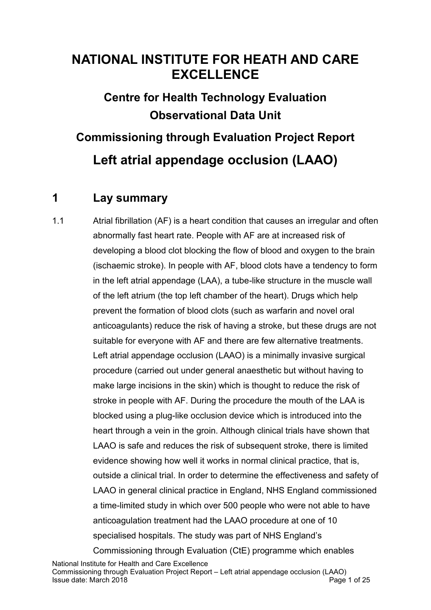# **NATIONAL INSTITUTE FOR HEATH AND CARE EXCELLENCE**

**Centre for Health Technology Evaluation Observational Data Unit**

**Commissioning through Evaluation Project Report Left atrial appendage occlusion (LAAO)**

# **1 Lay summary**

1.1 Atrial fibrillation (AF) is a heart condition that causes an irregular and often abnormally fast heart rate. People with AF are at increased risk of developing a blood clot blocking the flow of blood and oxygen to the brain (ischaemic stroke). In people with AF, blood clots have a tendency to form in the left atrial appendage (LAA), a tube-like structure in the muscle wall of the left atrium (the top left chamber of the heart). Drugs which help prevent the formation of blood clots (such as warfarin and novel oral anticoagulants) reduce the risk of having a stroke, but these drugs are not suitable for everyone with AF and there are few alternative treatments. Left atrial appendage occlusion (LAAO) is a minimally invasive surgical procedure (carried out under general anaesthetic but without having to make large incisions in the skin) which is thought to reduce the risk of stroke in people with AF. During the procedure the mouth of the LAA is blocked using a plug-like occlusion device which is introduced into the heart through a vein in the groin. Although clinical trials have shown that LAAO is safe and reduces the risk of subsequent stroke, there is limited evidence showing how well it works in normal clinical practice, that is, outside a clinical trial. In order to determine the effectiveness and safety of LAAO in general clinical practice in England, NHS England commissioned a time-limited study in which over 500 people who were not able to have anticoagulation treatment had the LAAO procedure at one of 10 specialised hospitals. The study was part of NHS England's Commissioning through Evaluation (CtE) programme which enables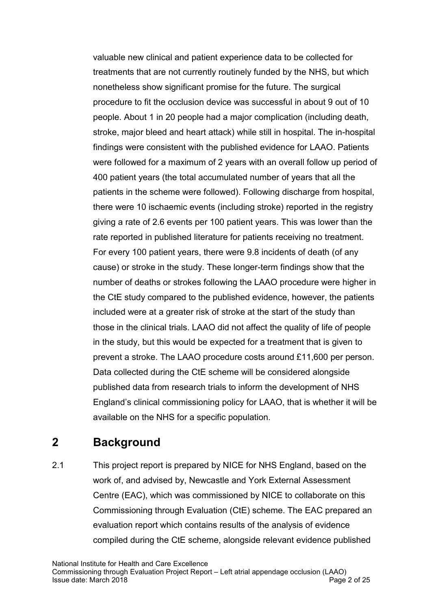valuable new clinical and patient experience data to be collected for treatments that are not currently routinely funded by the NHS, but which nonetheless show significant promise for the future. The surgical procedure to fit the occlusion device was successful in about 9 out of 10 people. About 1 in 20 people had a major complication (including death, stroke, major bleed and heart attack) while still in hospital. The in-hospital findings were consistent with the published evidence for LAAO. Patients were followed for a maximum of 2 years with an overall follow up period of 400 patient years (the total accumulated number of years that all the patients in the scheme were followed). Following discharge from hospital, there were 10 ischaemic events (including stroke) reported in the registry giving a rate of 2.6 events per 100 patient years. This was lower than the rate reported in published literature for patients receiving no treatment. For every 100 patient years, there were 9.8 incidents of death (of any cause) or stroke in the study. These longer-term findings show that the number of deaths or strokes following the LAAO procedure were higher in the CtE study compared to the published evidence, however, the patients included were at a greater risk of stroke at the start of the study than those in the clinical trials. LAAO did not affect the quality of life of people in the study, but this would be expected for a treatment that is given to prevent a stroke. The LAAO procedure costs around £11,600 per person. Data collected during the CtE scheme will be considered alongside published data from research trials to inform the development of NHS England's clinical commissioning policy for LAAO, that is whether it will be available on the NHS for a specific population.

# **2 Background**

2.1 This project report is prepared by NICE for NHS England, based on the work of, and advised by, Newcastle and York External Assessment Centre (EAC), which was commissioned by NICE to collaborate on this Commissioning through Evaluation (CtE) scheme. The EAC prepared an evaluation report which contains results of the analysis of evidence compiled during the CtE scheme, alongside relevant evidence published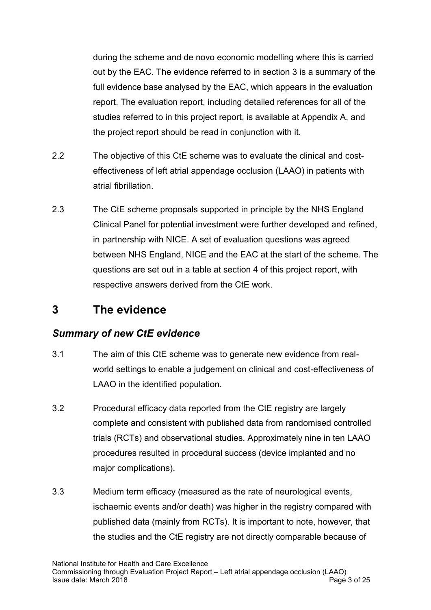during the scheme and de novo economic modelling where this is carried out by the EAC. The evidence referred to in section 3 is a summary of the full evidence base analysed by the EAC, which appears in the evaluation report. The evaluation report, including detailed references for all of the studies referred to in this project report, is available at Appendix A, and the project report should be read in conjunction with it.

- 2.2 The objective of this CtE scheme was to evaluate the clinical and costeffectiveness of left atrial appendage occlusion (LAAO) in patients with atrial fibrillation.
- 2.3 The CtE scheme proposals supported in principle by the NHS England Clinical Panel for potential investment were further developed and refined, in partnership with NICE. A set of evaluation questions was agreed between NHS England, NICE and the EAC at the start of the scheme. The questions are set out in a table at section 4 of this project report, with respective answers derived from the CtE work.

### **3 The evidence**

### *Summary of new CtE evidence*

- 3.1 The aim of this CtE scheme was to generate new evidence from realworld settings to enable a judgement on clinical and cost-effectiveness of LAAO in the identified population.
- 3.2 Procedural efficacy data reported from the CtE registry are largely complete and consistent with published data from randomised controlled trials (RCTs) and observational studies. Approximately nine in ten LAAO procedures resulted in procedural success (device implanted and no major complications).
- 3.3 Medium term efficacy (measured as the rate of neurological events, ischaemic events and/or death) was higher in the registry compared with published data (mainly from RCTs). It is important to note, however, that the studies and the CtE registry are not directly comparable because of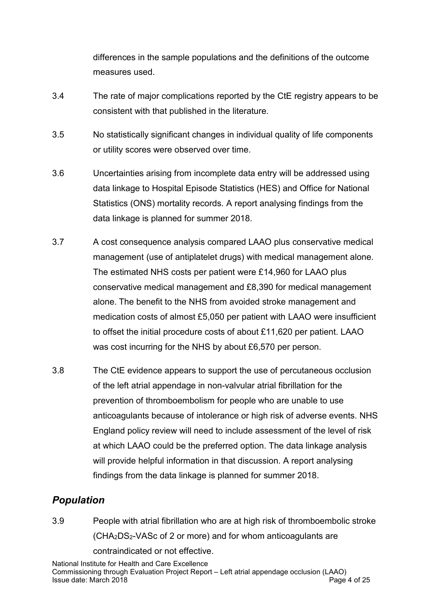differences in the sample populations and the definitions of the outcome measures used.

- 3.4 The rate of major complications reported by the CtE registry appears to be consistent with that published in the literature.
- 3.5 No statistically significant changes in individual quality of life components or utility scores were observed over time.
- 3.6 Uncertainties arising from incomplete data entry will be addressed using data linkage to Hospital Episode Statistics (HES) and Office for National Statistics (ONS) mortality records. A report analysing findings from the data linkage is planned for summer 2018.
- 3.7 A cost consequence analysis compared LAAO plus conservative medical management (use of antiplatelet drugs) with medical management alone. The estimated NHS costs per patient were £14,960 for LAAO plus conservative medical management and £8,390 for medical management alone. The benefit to the NHS from avoided stroke management and medication costs of almost £5,050 per patient with LAAO were insufficient to offset the initial procedure costs of about £11,620 per patient. LAAO was cost incurring for the NHS by about £6,570 per person.
- 3.8 The CtE evidence appears to support the use of [percutaneous occlusion](https://www.nice.org.uk/guidance/ipg349)  [of the left atrial appendage in non-valvular atrial fibrillation for the](https://www.nice.org.uk/guidance/ipg349)  [prevention of thromboembolism](https://www.nice.org.uk/guidance/ipg349) for people who are unable to use anticoagulants because of intolerance or high risk of adverse events. NHS England policy review will need to include assessment of the level of risk at which LAAO could be the preferred option. The data linkage analysis will provide helpful information in that discussion. A report analysing findings from the data linkage is planned for summer 2018.

### *Population*

3.9 People with atrial fibrillation who are at high risk of thromboembolic stroke (CHA2DS2-VASc of 2 or more) and for whom anticoagulants are contraindicated or not effective.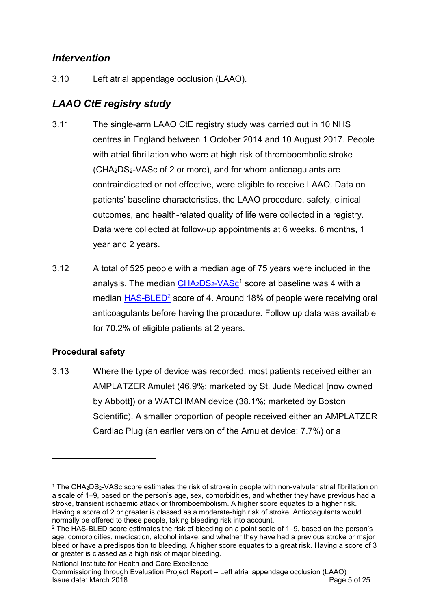### *Intervention*

3.10 Left atrial appendage occlusion (LAAO).

# *LAAO CtE registry study*

- 3.11 The single-arm LAAO CtE registry study was carried out in 10 NHS centres in England between 1 October 2014 and 10 August 2017. People with atrial fibrillation who were at high risk of thromboembolic stroke (CHA2DS2-VASc of 2 or more), and for whom anticoagulants are contraindicated or not effective, were eligible to receive LAAO. Data on patients' baseline characteristics, the LAAO procedure, safety, clinical outcomes, and health-related quality of life were collected in a registry. Data were collected at follow-up appointments at 6 weeks, 6 months, 1 year and 2 years.
- 3.12 A total of 525 people with a median age of 75 years were included in the analysis. The median  $CHA<sub>2</sub>DS<sub>2</sub>-VASc<sup>1</sup>$  $CHA<sub>2</sub>DS<sub>2</sub>-VASc<sup>1</sup>$  $CHA<sub>2</sub>DS<sub>2</sub>-VASc<sup>1</sup>$  score at baseline was 4 with a median [HAS-BLED](http://www.acc.org/tools-and-practice-support/clinical-toolkits/atrial-fibrillation-afib)<sup>2</sup> score of 4. Around 18% of people were receiving oral anticoagulants before having the procedure. Follow up data was available for 70.2% of eligible patients at 2 years.

### **Procedural safety**

<u>.</u>

3.13 Where the type of device was recorded, most patients received either an AMPLATZER Amulet (46.9%; marketed by St. Jude Medical [now owned by Abbott]) or a WATCHMAN device (38.1%; marketed by Boston Scientific). A smaller proportion of people received either an AMPLATZER Cardiac Plug (an earlier version of the Amulet device; 7.7%) or a

National Institute for Health and Care Excellence

<sup>1</sup> The CHA2DS2-VASc score estimates the risk of stroke in people with non-valvular atrial fibrillation on a scale of 1–9, based on the person's age, sex, comorbidities, and whether they have previous had a stroke, transient ischaemic attack or thromboembolism. A higher score equates to a higher risk. Having a score of 2 or greater is classed as a moderate-high risk of stroke. Anticoagulants would normally be offered to these people, taking bleeding risk into account.

<sup>2</sup> The HAS-BLED score estimates the risk of bleeding on a point scale of 1–9, based on the person's age, comorbidities, medication, alcohol intake, and whether they have had a previous stroke or major bleed or have a predisposition to bleeding. A higher score equates to a great risk. Having a score of 3 or greater is classed as a high risk of major bleeding.

Commissioning through Evaluation Project Report – Left atrial appendage occlusion (LAAO) Issue date: March 2018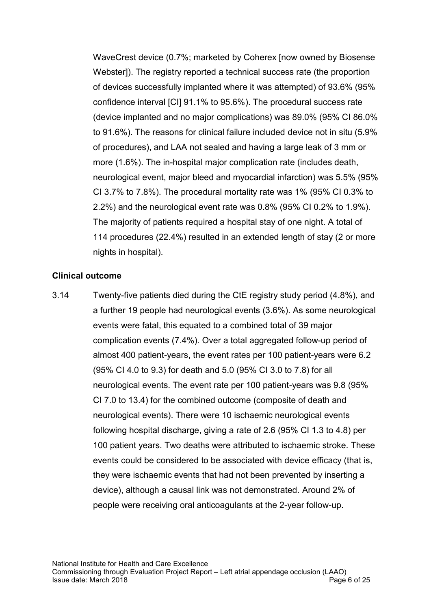WaveCrest device (0.7%; marketed by Coherex [now owned by Biosense Webster]). The registry reported a technical success rate (the proportion of devices successfully implanted where it was attempted) of 93.6% (95% confidence interval [CI] 91.1% to 95.6%). The procedural success rate (device implanted and no major complications) was 89.0% (95% CI 86.0% to 91.6%). The reasons for clinical failure included device not in situ (5.9% of procedures), and LAA not sealed and having a large leak of 3 mm or more (1.6%). The in-hospital major complication rate (includes death, neurological event, major bleed and myocardial infarction) was 5.5% (95% CI 3.7% to 7.8%). The procedural mortality rate was 1% (95% CI 0.3% to 2.2%) and the neurological event rate was 0.8% (95% CI 0.2% to 1.9%). The majority of patients required a hospital stay of one night. A total of 114 procedures (22.4%) resulted in an extended length of stay (2 or more nights in hospital).

#### **Clinical outcome**

3.14 Twenty-five patients died during the CtE registry study period (4.8%), and a further 19 people had neurological events (3.6%). As some neurological events were fatal, this equated to a combined total of 39 major complication events (7.4%). Over a total aggregated follow-up period of almost 400 patient-years, the event rates per 100 patient-years were 6.2 (95% CI 4.0 to 9.3) for death and 5.0 (95% CI 3.0 to 7.8) for all neurological events. The event rate per 100 patient-years was 9.8 (95% CI 7.0 to 13.4) for the combined outcome (composite of death and neurological events). There were 10 ischaemic neurological events following hospital discharge, giving a rate of 2.6 (95% CI 1.3 to 4.8) per 100 patient years. Two deaths were attributed to ischaemic stroke. These events could be considered to be associated with device efficacy (that is, they were ischaemic events that had not been prevented by inserting a device), although a causal link was not demonstrated*.* Around 2% of people were receiving oral anticoagulants at the 2-year follow-up.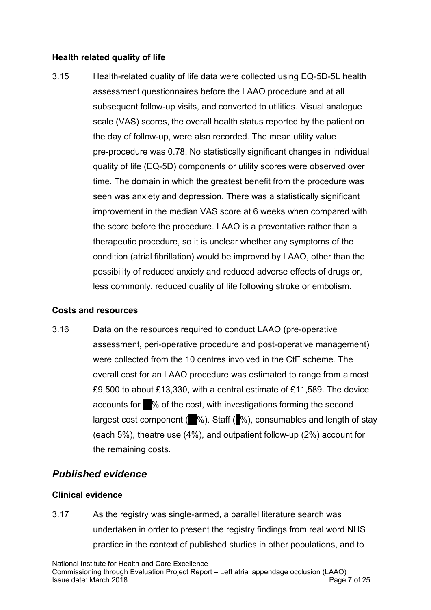#### **Health related quality of life**

3.15 Health-related quality of life data were collected using EQ-5D-5L health assessment questionnaires before the LAAO procedure and at all subsequent follow-up visits, and converted to utilities. Visual analogue scale (VAS) scores, the overall health status reported by the patient on the day of follow-up, were also recorded. The mean utility value pre-procedure was 0.78. No statistically significant changes in individual quality of life (EQ-5D) components or utility scores were observed over time. The domain in which the greatest benefit from the procedure was seen was anxiety and depression. There was a statistically significant improvement in the median VAS score at 6 weeks when compared with the score before the procedure. LAAO is a preventative rather than a therapeutic procedure, so it is unclear whether any symptoms of the condition (atrial fibrillation) would be improved by LAAO, other than the possibility of reduced anxiety and reduced adverse effects of drugs or, less commonly, reduced quality of life following stroke or embolism.

#### **Costs and resources**

3.16 Data on the resources required to conduct LAAO (pre-operative assessment, peri-operative procedure and post-operative management) were collected from the 10 centres involved in the CtE scheme. The overall cost for an LAAO procedure was estimated to range from almost £9,500 to about £13,330, with a central estimate of £11,589. The device accounts for  $\mathcal{X}_\infty$  of the cost, with investigations forming the second largest cost component ( $\%$ ). Staff ( $\%$ ), consumables and length of stay (each 5%), theatre use (4%), and outpatient follow-up (2%) account for the remaining costs.

### *Published evidence*

#### **Clinical evidence**

3.17 As the registry was single-armed, a parallel literature search was undertaken in order to present the registry findings from real word NHS practice in the context of published studies in other populations, and to

National Institute for Health and Care Excellence Commissioning through Evaluation Project Report – Left atrial appendage occlusion (LAAO) Issue date: March 2018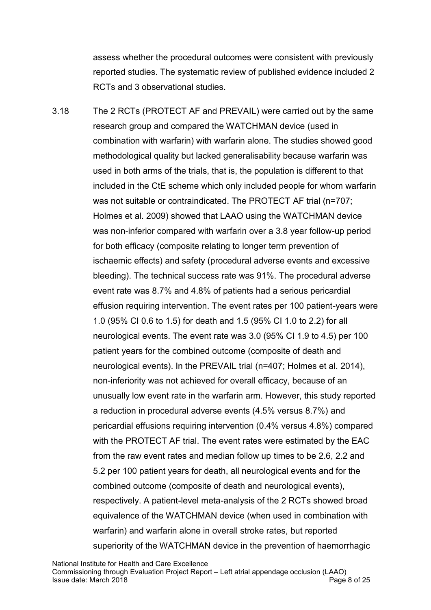assess whether the procedural outcomes were consistent with previously reported studies. The systematic review of published evidence included 2 RCTs and 3 observational studies.

3.18 The 2 RCTs (PROTECT AF and PREVAIL) were carried out by the same research group and compared the WATCHMAN device (used in combination with warfarin) with warfarin alone. The studies showed good methodological quality but lacked generalisability because warfarin was used in both arms of the trials, that is, the population is different to that included in the CtE scheme which only included people for whom warfarin was not suitable or contraindicated. The PROTECT AF trial (n=707; Holmes et al. 2009) showed that LAAO using the WATCHMAN device was non-inferior compared with warfarin over a 3.8 year follow-up period for both efficacy (composite relating to longer term prevention of ischaemic effects) and safety (procedural adverse events and excessive bleeding). The technical success rate was 91%. The procedural adverse event rate was 8.7% and 4.8% of patients had a serious pericardial effusion requiring intervention. The event rates per 100 patient-years were 1.0 (95% CI 0.6 to 1.5) for death and 1.5 (95% CI 1.0 to 2.2) for all neurological events. The event rate was 3.0 (95% CI 1.9 to 4.5) per 100 patient years for the combined outcome (composite of death and neurological events). In the PREVAIL trial (n=407; Holmes et al. 2014), non-inferiority was not achieved for overall efficacy, because of an unusually low event rate in the warfarin arm. However, this study reported a reduction in procedural adverse events (4.5% versus 8.7%) and pericardial effusions requiring intervention (0.4% versus 4.8%) compared with the PROTECT AF trial. The event rates were estimated by the EAC from the raw event rates and median follow up times to be 2.6, 2.2 and 5.2 per 100 patient years for death, all neurological events and for the combined outcome (composite of death and neurological events), respectively. A patient-level meta-analysis of the 2 RCTs showed broad equivalence of the WATCHMAN device (when used in combination with warfarin) and warfarin alone in overall stroke rates, but reported superiority of the WATCHMAN device in the prevention of haemorrhagic

National Institute for Health and Care Excellence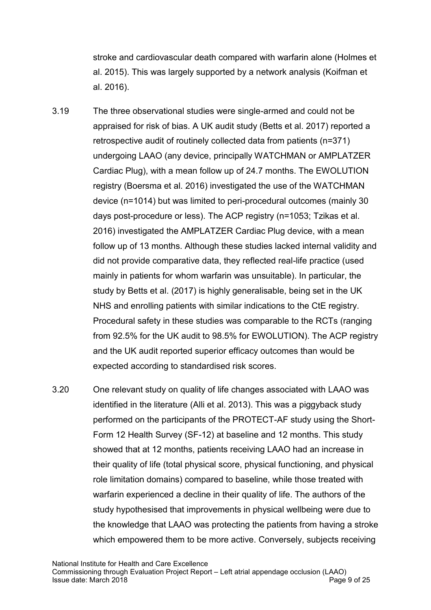stroke and cardiovascular death compared with warfarin alone (Holmes et al. 2015). This was largely supported by a network analysis (Koifman et al. 2016).

- 3.19 The three observational studies were single-armed and could not be appraised for risk of bias. A UK audit study (Betts et al. 2017) reported a retrospective audit of routinely collected data from patients (n=371) undergoing LAAO (any device, principally WATCHMAN or AMPLATZER Cardiac Plug), with a mean follow up of 24.7 months. The EWOLUTION registry (Boersma et al. 2016) investigated the use of the WATCHMAN device (n=1014) but was limited to peri-procedural outcomes (mainly 30 days post-procedure or less). The ACP registry (n=1053; Tzikas et al. 2016) investigated the AMPLATZER Cardiac Plug device, with a mean follow up of 13 months. Although these studies lacked internal validity and did not provide comparative data, they reflected real-life practice (used mainly in patients for whom warfarin was unsuitable). In particular, the study by Betts et al. (2017) is highly generalisable, being set in the UK NHS and enrolling patients with similar indications to the CtE registry. Procedural safety in these studies was comparable to the RCTs (ranging from 92.5% for the UK audit to 98.5% for EWOLUTION). The ACP registry and the UK audit reported superior efficacy outcomes than would be expected according to standardised risk scores.
- 3.20 One relevant study on quality of life changes associated with LAAO was identified in the literature (Alli et al. 2013). This was a piggyback study performed on the participants of the PROTECT-AF study using the Short-Form 12 Health Survey (SF-12) at baseline and 12 months. This study showed that at 12 months, patients receiving LAAO had an increase in their quality of life (total physical score, physical functioning, and physical role limitation domains) compared to baseline, while those treated with warfarin experienced a decline in their quality of life. The authors of the study hypothesised that improvements in physical wellbeing were due to the knowledge that LAAO was protecting the patients from having a stroke which empowered them to be more active. Conversely, subjects receiving

National Institute for Health and Care Excellence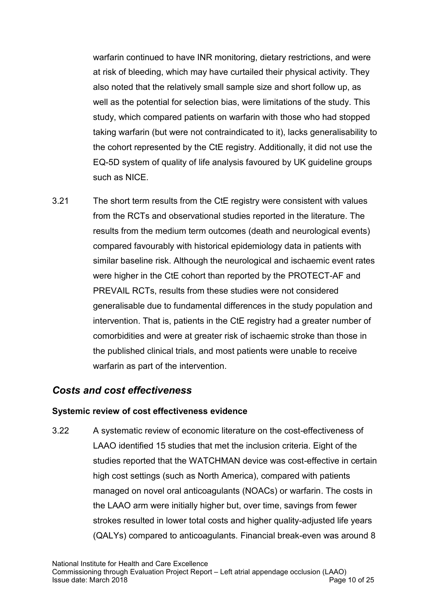warfarin continued to have INR monitoring, dietary restrictions, and were at risk of bleeding, which may have curtailed their physical activity. They also noted that the relatively small sample size and short follow up, as well as the potential for selection bias, were limitations of the study. This study, which compared patients on warfarin with those who had stopped taking warfarin (but were not contraindicated to it), lacks generalisability to the cohort represented by the CtE registry. Additionally, it did not use the EQ-5D system of quality of life analysis favoured by UK guideline groups such as NICE.

3.21 The short term results from the CtE registry were consistent with values from the RCTs and observational studies reported in the literature. The results from the medium term outcomes (death and neurological events) compared favourably with historical epidemiology data in patients with similar baseline risk. Although the neurological and ischaemic event rates were higher in the CtE cohort than reported by the PROTECT-AF and PREVAIL RCTs, results from these studies were not considered generalisable due to fundamental differences in the study population and intervention. That is, patients in the CtE registry had a greater number of comorbidities and were at greater risk of ischaemic stroke than those in the published clinical trials, and most patients were unable to receive warfarin as part of the intervention.

### *Costs and cost effectiveness*

#### **Systemic review of cost effectiveness evidence**

3.22 A systematic review of economic literature on the cost-effectiveness of LAAO identified 15 studies that met the inclusion criteria. Eight of the studies reported that the WATCHMAN device was cost-effective in certain high cost settings (such as North America), compared with patients managed on novel oral anticoagulants (NOACs) or warfarin. The costs in the LAAO arm were initially higher but, over time, savings from fewer strokes resulted in lower total costs and higher quality-adjusted life years (QALYs) compared to anticoagulants. Financial break-even was around 8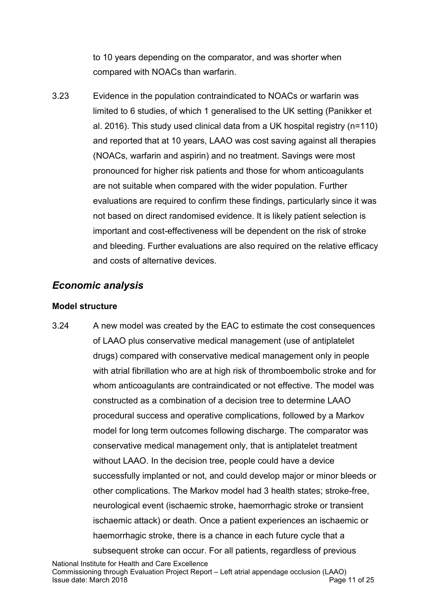to 10 years depending on the comparator, and was shorter when compared with NOACs than warfarin.

3.23 Evidence in the population contraindicated to NOACs or warfarin was limited to 6 studies, of which 1 generalised to the UK setting (Panikker et al. 2016). This study used clinical data from a UK hospital registry (n=110) and reported that at 10 years, LAAO was cost saving against all therapies (NOACs, warfarin and aspirin) and no treatment. Savings were most pronounced for higher risk patients and those for whom anticoagulants are not suitable when compared with the wider population. Further evaluations are required to confirm these findings, particularly since it was not based on direct randomised evidence. It is likely patient selection is important and cost-effectiveness will be dependent on the risk of stroke and bleeding. Further evaluations are also required on the relative efficacy and costs of alternative devices.

### *Economic analysis*

#### **Model structure**

3.24 A new model was created by the EAC to estimate the cost consequences of LAAO plus conservative medical management (use of antiplatelet drugs) compared with conservative medical management only in people with atrial fibrillation who are at high risk of thromboembolic stroke and for whom anticoagulants are contraindicated or not effective. The model was constructed as a combination of a decision tree to determine LAAO procedural success and operative complications, followed by a Markov model for long term outcomes following discharge. The comparator was conservative medical management only, that is antiplatelet treatment without LAAO. In the decision tree, people could have a device successfully implanted or not, and could develop major or minor bleeds or other complications. The Markov model had 3 health states; stroke-free, neurological event (ischaemic stroke, haemorrhagic stroke or transient ischaemic attack) or death. Once a patient experiences an ischaemic or haemorrhagic stroke, there is a chance in each future cycle that a subsequent stroke can occur. For all patients, regardless of previous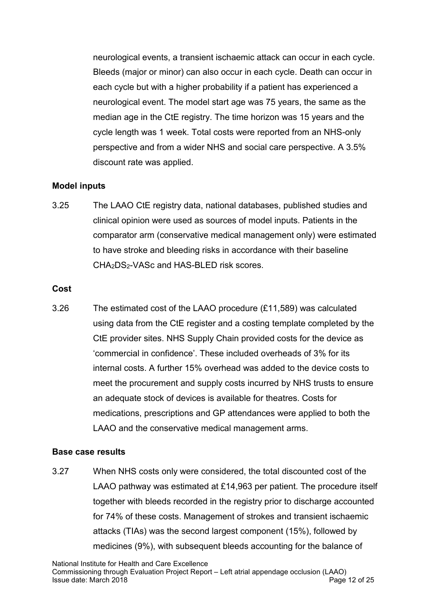neurological events, a transient ischaemic attack can occur in each cycle. Bleeds (major or minor) can also occur in each cycle. Death can occur in each cycle but with a higher probability if a patient has experienced a neurological event. The model start age was 75 years, the same as the median age in the CtE registry. The time horizon was 15 years and the cycle length was 1 week. Total costs were reported from an NHS-only perspective and from a wider NHS and social care perspective. A 3.5% discount rate was applied.

#### **Model inputs**

3.25 The LAAO CtE registry data, national databases, published studies and clinical opinion were used as sources of model inputs. Patients in the comparator arm (conservative medical management only) were estimated to have stroke and bleeding risks in accordance with their baseline CHA2DS2-VASc and HAS-BLED risk scores.

#### **Cost**

3.26 The estimated cost of the LAAO procedure (£11,589) was calculated using data from the CtE register and a costing template completed by the CtE provider sites. NHS Supply Chain provided costs for the device as 'commercial in confidence'. These included overheads of 3% for its internal costs. A further 15% overhead was added to the device costs to meet the procurement and supply costs incurred by NHS trusts to ensure an adequate stock of devices is available for theatres. Costs for medications, prescriptions and GP attendances were applied to both the LAAO and the conservative medical management arms.

#### **Base case results**

3.27 When NHS costs only were considered, the total discounted cost of the LAAO pathway was estimated at £14,963 per patient. The procedure itself together with bleeds recorded in the registry prior to discharge accounted for 74% of these costs. Management of strokes and transient ischaemic attacks (TIAs) was the second largest component (15%), followed by medicines (9%), with subsequent bleeds accounting for the balance of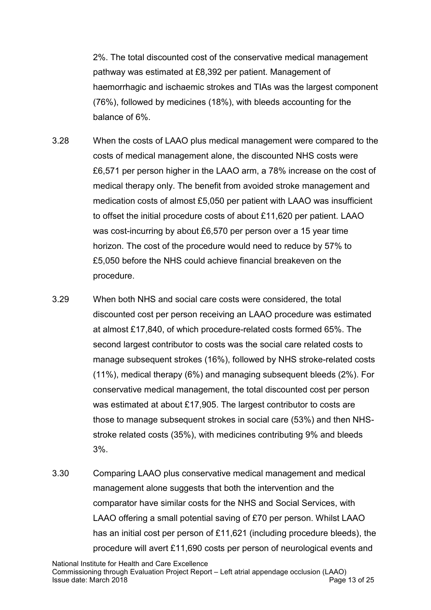2%. The total discounted cost of the conservative medical management pathway was estimated at £8,392 per patient. Management of haemorrhagic and ischaemic strokes and TIAs was the largest component (76%), followed by medicines (18%), with bleeds accounting for the balance of 6%.

- 3.28 When the costs of LAAO plus medical management were compared to the costs of medical management alone, the discounted NHS costs were £6,571 per person higher in the LAAO arm, a 78% increase on the cost of medical therapy only. The benefit from avoided stroke management and medication costs of almost £5,050 per patient with LAAO was insufficient to offset the initial procedure costs of about £11,620 per patient. LAAO was cost-incurring by about £6,570 per person over a 15 year time horizon. The cost of the procedure would need to reduce by 57% to £5,050 before the NHS could achieve financial breakeven on the procedure.
- 3.29 When both NHS and social care costs were considered, the total discounted cost per person receiving an LAAO procedure was estimated at almost £17,840, of which procedure-related costs formed 65%. The second largest contributor to costs was the social care related costs to manage subsequent strokes (16%), followed by NHS stroke-related costs (11%), medical therapy (6%) and managing subsequent bleeds (2%). For conservative medical management, the total discounted cost per person was estimated at about £17,905. The largest contributor to costs are those to manage subsequent strokes in social care (53%) and then NHSstroke related costs (35%), with medicines contributing 9% and bleeds 3%.
- 3.30 Comparing LAAO plus conservative medical management and medical management alone suggests that both the intervention and the comparator have similar costs for the NHS and Social Services, with LAAO offering a small potential saving of £70 per person. Whilst LAAO has an initial cost per person of £11,621 (including procedure bleeds), the procedure will avert £11,690 costs per person of neurological events and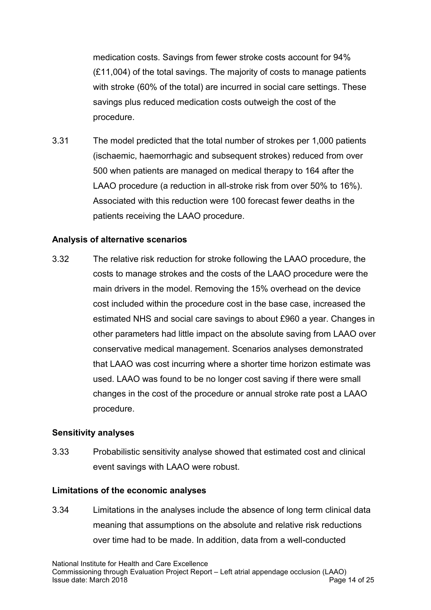medication costs. Savings from fewer stroke costs account for 94% (£11,004) of the total savings. The majority of costs to manage patients with stroke (60% of the total) are incurred in social care settings. These savings plus reduced medication costs outweigh the cost of the procedure.

3.31 The model predicted that the total number of strokes per 1,000 patients (ischaemic, haemorrhagic and subsequent strokes) reduced from over 500 when patients are managed on medical therapy to 164 after the LAAO procedure (a reduction in all-stroke risk from over 50% to 16%). Associated with this reduction were 100 forecast fewer deaths in the patients receiving the LAAO procedure.

#### **Analysis of alternative scenarios**

3.32 The relative risk reduction for stroke following the LAAO procedure, the costs to manage strokes and the costs of the LAAO procedure were the main drivers in the model. Removing the 15% overhead on the device cost included within the procedure cost in the base case, increased the estimated NHS and social care savings to about £960 a year. Changes in other parameters had little impact on the absolute saving from LAAO over conservative medical management. Scenarios analyses demonstrated that LAAO was cost incurring where a shorter time horizon estimate was used. LAAO was found to be no longer cost saving if there were small changes in the cost of the procedure or annual stroke rate post a LAAO procedure.

#### **Sensitivity analyses**

3.33 Probabilistic sensitivity analyse showed that estimated cost and clinical event savings with LAAO were robust.

#### **Limitations of the economic analyses**

3.34 Limitations in the analyses include the absence of long term clinical data meaning that assumptions on the absolute and relative risk reductions over time had to be made. In addition, data from a well-conducted

National Institute for Health and Care Excellence Commissioning through Evaluation Project Report – Left atrial appendage occlusion (LAAO) Issue date: March 2018 **Page 14 of 25** and 2018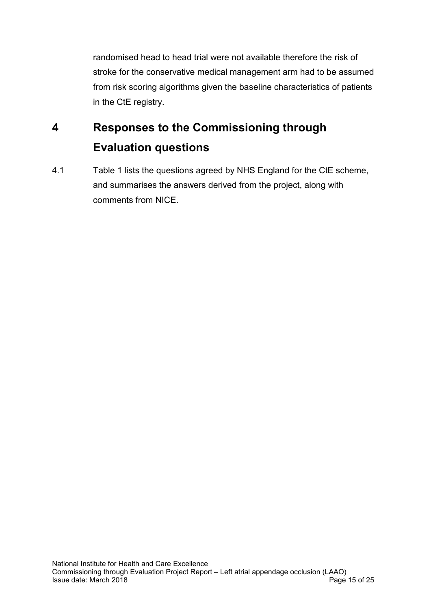randomised head to head trial were not available therefore the risk of stroke for the conservative medical management arm had to be assumed from risk scoring algorithms given the baseline characteristics of patients in the CtE registry.

# **4 Responses to the Commissioning through Evaluation questions**

4.1 Table 1 lists the questions agreed by NHS England for the CtE scheme, and summarises the answers derived from the project, along with comments from NICE.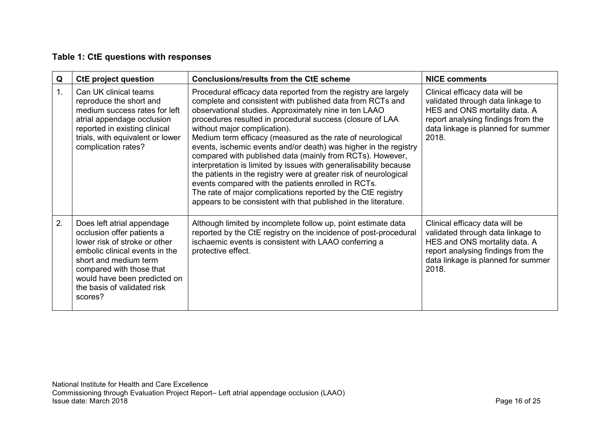#### **Table 1: CtE questions with responses**

| Q  | <b>CtE project question</b>                                                                                                                                                                                                                                | <b>Conclusions/results from the CtE scheme</b>                                                                                                                                                                                                                                                                                                                                                                                                                                                                                                                                                                                                                                                                                                                                                                        | <b>NICE comments</b>                                                                                                                                                                      |
|----|------------------------------------------------------------------------------------------------------------------------------------------------------------------------------------------------------------------------------------------------------------|-----------------------------------------------------------------------------------------------------------------------------------------------------------------------------------------------------------------------------------------------------------------------------------------------------------------------------------------------------------------------------------------------------------------------------------------------------------------------------------------------------------------------------------------------------------------------------------------------------------------------------------------------------------------------------------------------------------------------------------------------------------------------------------------------------------------------|-------------------------------------------------------------------------------------------------------------------------------------------------------------------------------------------|
| 1. | Can UK clinical teams<br>reproduce the short and<br>medium success rates for left<br>atrial appendage occlusion<br>reported in existing clinical<br>trials, with equivalent or lower<br>complication rates?                                                | Procedural efficacy data reported from the registry are largely<br>complete and consistent with published data from RCTs and<br>observational studies. Approximately nine in ten LAAO<br>procedures resulted in procedural success (closure of LAA<br>without major complication).<br>Medium term efficacy (measured as the rate of neurological<br>events, ischemic events and/or death) was higher in the registry<br>compared with published data (mainly from RCTs). However,<br>interpretation is limited by issues with generalisability because<br>the patients in the registry were at greater risk of neurological<br>events compared with the patients enrolled in RCTs.<br>The rate of major complications reported by the CtE registry<br>appears to be consistent with that published in the literature. | Clinical efficacy data will be<br>validated through data linkage to<br>HES and ONS mortality data. A<br>report analysing findings from the<br>data linkage is planned for summer<br>2018. |
| 2. | Does left atrial appendage<br>occlusion offer patients a<br>lower risk of stroke or other<br>embolic clinical events in the<br>short and medium term<br>compared with those that<br>would have been predicted on<br>the basis of validated risk<br>scores? | Although limited by incomplete follow up, point estimate data<br>reported by the CtE registry on the incidence of post-procedural<br>ischaemic events is consistent with LAAO conferring a<br>protective effect.                                                                                                                                                                                                                                                                                                                                                                                                                                                                                                                                                                                                      | Clinical efficacy data will be<br>validated through data linkage to<br>HES and ONS mortality data. A<br>report analysing findings from the<br>data linkage is planned for summer<br>2018. |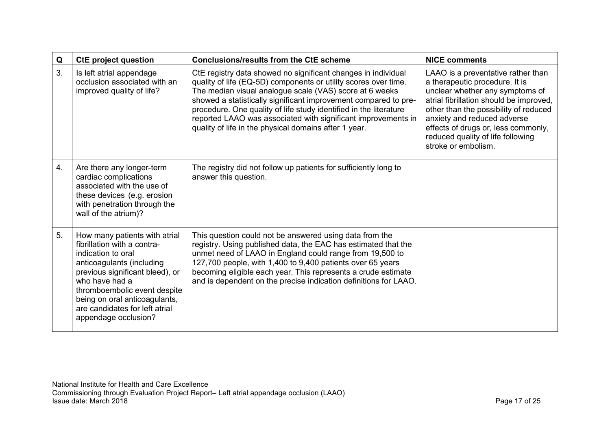| Q  | <b>CtE project question</b>                                                                                                                                                                                                                                                                     | <b>Conclusions/results from the CtE scheme</b>                                                                                                                                                                                                                                                                                                                                                                                                                | <b>NICE comments</b>                                                                                                                                                                                                                                                                                                          |
|----|-------------------------------------------------------------------------------------------------------------------------------------------------------------------------------------------------------------------------------------------------------------------------------------------------|---------------------------------------------------------------------------------------------------------------------------------------------------------------------------------------------------------------------------------------------------------------------------------------------------------------------------------------------------------------------------------------------------------------------------------------------------------------|-------------------------------------------------------------------------------------------------------------------------------------------------------------------------------------------------------------------------------------------------------------------------------------------------------------------------------|
| 3. | Is left atrial appendage<br>occlusion associated with an<br>improved quality of life?                                                                                                                                                                                                           | CtE registry data showed no significant changes in individual<br>quality of life (EQ-5D) components or utility scores over time.<br>The median visual analogue scale (VAS) score at 6 weeks<br>showed a statistically significant improvement compared to pre-<br>procedure. One quality of life study identified in the literature<br>reported LAAO was associated with significant improvements in<br>quality of life in the physical domains after 1 year. | LAAO is a preventative rather than<br>a therapeutic procedure. It is<br>unclear whether any symptoms of<br>atrial fibrillation should be improved,<br>other than the possibility of reduced<br>anxiety and reduced adverse<br>effects of drugs or, less commonly,<br>reduced quality of life following<br>stroke or embolism. |
| 4. | Are there any longer-term<br>cardiac complications<br>associated with the use of<br>these devices (e.g. erosion<br>with penetration through the<br>wall of the atrium)?                                                                                                                         | The registry did not follow up patients for sufficiently long to<br>answer this question.                                                                                                                                                                                                                                                                                                                                                                     |                                                                                                                                                                                                                                                                                                                               |
| 5. | How many patients with atrial<br>fibrillation with a contra-<br>indication to oral<br>anticoagulants (including<br>previous significant bleed), or<br>who have had a<br>thromboembolic event despite<br>being on oral anticoagulants,<br>are candidates for left atrial<br>appendage occlusion? | This question could not be answered using data from the<br>registry. Using published data, the EAC has estimated that the<br>unmet need of LAAO in England could range from 19,500 to<br>127,700 people, with 1,400 to 9,400 patients over 65 years<br>becoming eligible each year. This represents a crude estimate<br>and is dependent on the precise indication definitions for LAAO.                                                                      |                                                                                                                                                                                                                                                                                                                               |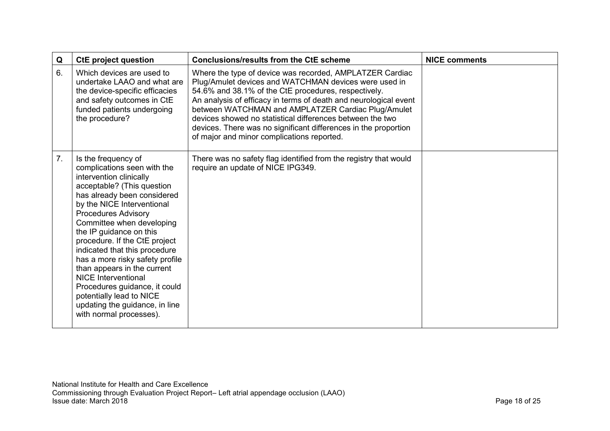| Q              | <b>CtE project question</b>                                                                                                                                                                                                                                                                                                                                                                                                                                                                                                                                | <b>Conclusions/results from the CtE scheme</b>                                                                                                                                                                                                                                                                                                                                                                                                                                    | <b>NICE comments</b> |
|----------------|------------------------------------------------------------------------------------------------------------------------------------------------------------------------------------------------------------------------------------------------------------------------------------------------------------------------------------------------------------------------------------------------------------------------------------------------------------------------------------------------------------------------------------------------------------|-----------------------------------------------------------------------------------------------------------------------------------------------------------------------------------------------------------------------------------------------------------------------------------------------------------------------------------------------------------------------------------------------------------------------------------------------------------------------------------|----------------------|
| 6.             | Which devices are used to<br>undertake LAAO and what are<br>the device-specific efficacies<br>and safety outcomes in CtE<br>funded patients undergoing<br>the procedure?                                                                                                                                                                                                                                                                                                                                                                                   | Where the type of device was recorded, AMPLATZER Cardiac<br>Plug/Amulet devices and WATCHMAN devices were used in<br>54.6% and 38.1% of the CtE procedures, respectively.<br>An analysis of efficacy in terms of death and neurological event<br>between WATCHMAN and AMPLATZER Cardiac Plug/Amulet<br>devices showed no statistical differences between the two<br>devices. There was no significant differences in the proportion<br>of major and minor complications reported. |                      |
| 7 <sub>1</sub> | Is the frequency of<br>complications seen with the<br>intervention clinically<br>acceptable? (This question<br>has already been considered<br>by the NICE Interventional<br><b>Procedures Advisory</b><br>Committee when developing<br>the IP guidance on this<br>procedure. If the CtE project<br>indicated that this procedure<br>has a more risky safety profile<br>than appears in the current<br><b>NICE Interventional</b><br>Procedures guidance, it could<br>potentially lead to NICE<br>updating the guidance, in line<br>with normal processes). | There was no safety flag identified from the registry that would<br>require an update of NICE IPG349.                                                                                                                                                                                                                                                                                                                                                                             |                      |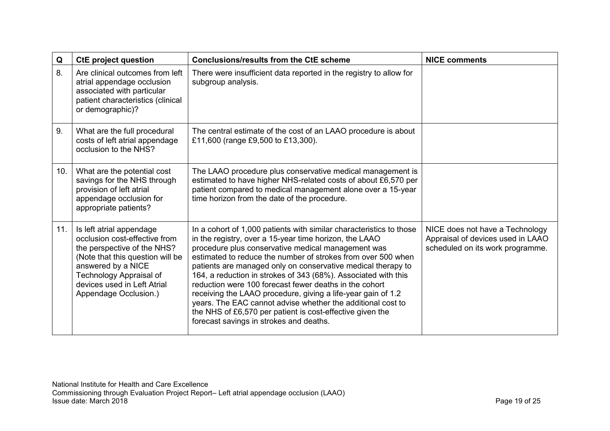| Q   | <b>CtE project question</b>                                                                                                                                                                                                           | <b>Conclusions/results from the CtE scheme</b>                                                                                                                                                                                                                                                                                                                                                                                                                                                                                                                                                                                                                                         | <b>NICE comments</b>                                                                                     |
|-----|---------------------------------------------------------------------------------------------------------------------------------------------------------------------------------------------------------------------------------------|----------------------------------------------------------------------------------------------------------------------------------------------------------------------------------------------------------------------------------------------------------------------------------------------------------------------------------------------------------------------------------------------------------------------------------------------------------------------------------------------------------------------------------------------------------------------------------------------------------------------------------------------------------------------------------------|----------------------------------------------------------------------------------------------------------|
| 8.  | Are clinical outcomes from left<br>atrial appendage occlusion<br>associated with particular<br>patient characteristics (clinical<br>or demographic)?                                                                                  | There were insufficient data reported in the registry to allow for<br>subgroup analysis.                                                                                                                                                                                                                                                                                                                                                                                                                                                                                                                                                                                               |                                                                                                          |
| 9.  | What are the full procedural<br>costs of left atrial appendage<br>occlusion to the NHS?                                                                                                                                               | The central estimate of the cost of an LAAO procedure is about<br>£11,600 (range £9,500 to £13,300).                                                                                                                                                                                                                                                                                                                                                                                                                                                                                                                                                                                   |                                                                                                          |
| 10. | What are the potential cost<br>savings for the NHS through<br>provision of left atrial<br>appendage occlusion for<br>appropriate patients?                                                                                            | The LAAO procedure plus conservative medical management is<br>estimated to have higher NHS-related costs of about £6,570 per<br>patient compared to medical management alone over a 15-year<br>time horizon from the date of the procedure.                                                                                                                                                                                                                                                                                                                                                                                                                                            |                                                                                                          |
| 11. | Is left atrial appendage<br>occlusion cost-effective from<br>the perspective of the NHS?<br>(Note that this question will be<br>answered by a NICE<br>Technology Appraisal of<br>devices used in Left Atrial<br>Appendage Occlusion.) | In a cohort of 1,000 patients with similar characteristics to those<br>in the registry, over a 15-year time horizon, the LAAO<br>procedure plus conservative medical management was<br>estimated to reduce the number of strokes from over 500 when<br>patients are managed only on conservative medical therapy to<br>164, a reduction in strokes of 343 (68%). Associated with this<br>reduction were 100 forecast fewer deaths in the cohort<br>receiving the LAAO procedure, giving a life-year gain of 1.2<br>years. The EAC cannot advise whether the additional cost to<br>the NHS of £6,570 per patient is cost-effective given the<br>forecast savings in strokes and deaths. | NICE does not have a Technology<br>Appraisal of devices used in LAAO<br>scheduled on its work programme. |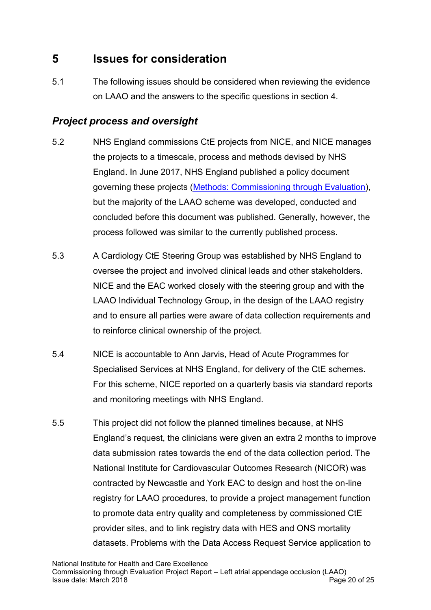# **5 Issues for consideration**

5.1 The following issues should be considered when reviewing the evidence on LAAO and the answers to the specific questions in section 4.

### *Project process and oversight*

- 5.2 NHS England commissions CtE projects from NICE, and NICE manages the projects to a timescale, process and methods devised by NHS England. In June 2017, NHS England published a policy document governing these projects [\(Methods: Commissioning through Evaluation\)](https://www.england.nhs.uk/publication/methods-commissioning-through-evaluation/), but the majority of the LAAO scheme was developed, conducted and concluded before this document was published. Generally, however, the process followed was similar to the currently published process.
- 5.3 A Cardiology CtE Steering Group was established by NHS England to oversee the project and involved clinical leads and other stakeholders. NICE and the EAC worked closely with the steering group and with the LAAO Individual Technology Group, in the design of the LAAO registry and to ensure all parties were aware of data collection requirements and to reinforce clinical ownership of the project.
- 5.4 NICE is accountable to Ann Jarvis, Head of Acute Programmes for Specialised Services at NHS England, for delivery of the CtE schemes. For this scheme, NICE reported on a quarterly basis via standard reports and monitoring meetings with NHS England.
- 5.5 This project did not follow the planned timelines because, at NHS England's request, the clinicians were given an extra 2 months to improve data submission rates towards the end of the data collection period. The National Institute for Cardiovascular Outcomes Research (NICOR) was contracted by Newcastle and York EAC to design and host the on-line registry for LAAO procedures, to provide a project management function to promote data entry quality and completeness by commissioned CtE provider sites, and to link registry data with HES and ONS mortality datasets. Problems with the Data Access Request Service application to

National Institute for Health and Care Excellence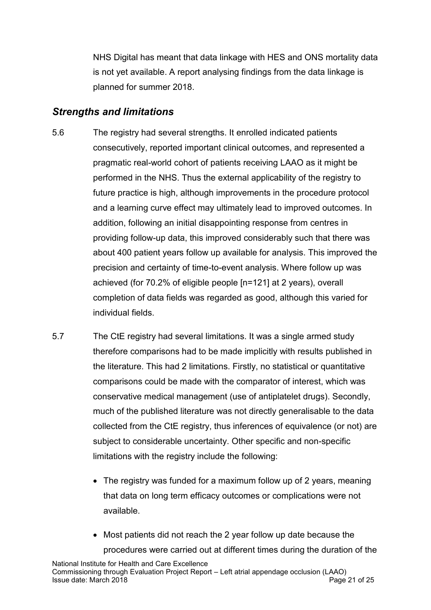NHS Digital has meant that data linkage with HES and ONS mortality data is not yet available. A report analysing findings from the data linkage is planned for summer 2018.

### *Strengths and limitations*

- 5.6 The registry had several strengths. It enrolled indicated patients consecutively, reported important clinical outcomes, and represented a pragmatic real-world cohort of patients receiving LAAO as it might be performed in the NHS. Thus the external applicability of the registry to future practice is high, although improvements in the procedure protocol and a learning curve effect may ultimately lead to improved outcomes. In addition, following an initial disappointing response from centres in providing follow-up data, this improved considerably such that there was about 400 patient years follow up available for analysis. This improved the precision and certainty of time-to-event analysis. Where follow up was achieved (for 70.2% of eligible people [n=121] at 2 years), overall completion of data fields was regarded as good, although this varied for individual fields.
- 5.7 The CtE registry had several limitations. It was a single armed study therefore comparisons had to be made implicitly with results published in the literature. This had 2 limitations. Firstly, no statistical or quantitative comparisons could be made with the comparator of interest, which was conservative medical management (use of antiplatelet drugs). Secondly, much of the published literature was not directly generalisable to the data collected from the CtE registry, thus inferences of equivalence (or not) are subject to considerable uncertainty. Other specific and non-specific limitations with the registry include the following:
	- The registry was funded for a maximum follow up of 2 years, meaning that data on long term efficacy outcomes or complications were not available.
	- Most patients did not reach the 2 year follow up date because the procedures were carried out at different times during the duration of the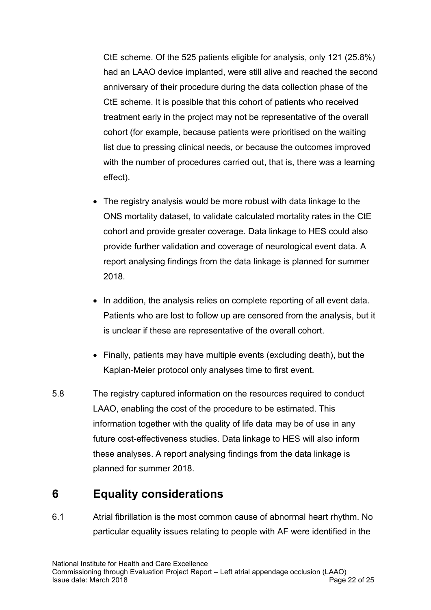CtE scheme. Of the 525 patients eligible for analysis, only 121 (25.8%) had an LAAO device implanted, were still alive and reached the second anniversary of their procedure during the data collection phase of the CtE scheme. It is possible that this cohort of patients who received treatment early in the project may not be representative of the overall cohort (for example, because patients were prioritised on the waiting list due to pressing clinical needs, or because the outcomes improved with the number of procedures carried out, that is, there was a learning effect).

- The registry analysis would be more robust with data linkage to the ONS mortality dataset, to validate calculated mortality rates in the CtE cohort and provide greater coverage. Data linkage to HES could also provide further validation and coverage of neurological event data. A report analysing findings from the data linkage is planned for summer 2018.
- In addition, the analysis relies on complete reporting of all event data. Patients who are lost to follow up are censored from the analysis, but it is unclear if these are representative of the overall cohort.
- Finally, patients may have multiple events (excluding death), but the Kaplan-Meier protocol only analyses time to first event.
- 5.8 The registry captured information on the resources required to conduct LAAO, enabling the cost of the procedure to be estimated. This information together with the quality of life data may be of use in any future cost-effectiveness studies. Data linkage to HES will also inform these analyses. A report analysing findings from the data linkage is planned for summer 2018.

# **6 Equality considerations**

6.1 Atrial fibrillation is the most common cause of abnormal heart rhythm. No particular equality issues relating to people with AF were identified in the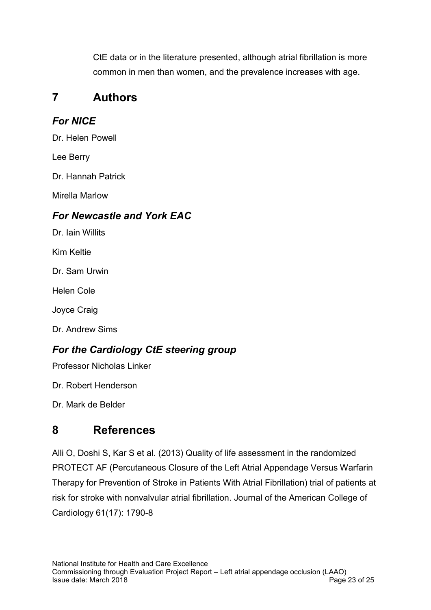CtE data or in the literature presented, although atrial fibrillation is more common in men than women, and the prevalence increases with age.

# **7 Authors**

# *For NICE*

Dr. Helen Powell

Lee Berry

Dr. Hannah Patrick

Mirella Marlow

### *For Newcastle and York EAC*

Dr. Iain Willits

Kim Keltie

Dr. Sam Urwin

Helen Cole

Joyce Craig

Dr. Andrew Sims

# *For the Cardiology CtE steering group*

Professor Nicholas Linker

Dr. Robert Henderson

Dr. Mark de Belder

# **8 References**

Alli O, Doshi S, Kar S et al. (2013) Quality of life assessment in the randomized PROTECT AF (Percutaneous Closure of the Left Atrial Appendage Versus Warfarin Therapy for Prevention of Stroke in Patients With Atrial Fibrillation) trial of patients at risk for stroke with nonvalvular atrial fibrillation. Journal of the American College of Cardiology 61(17): 1790-8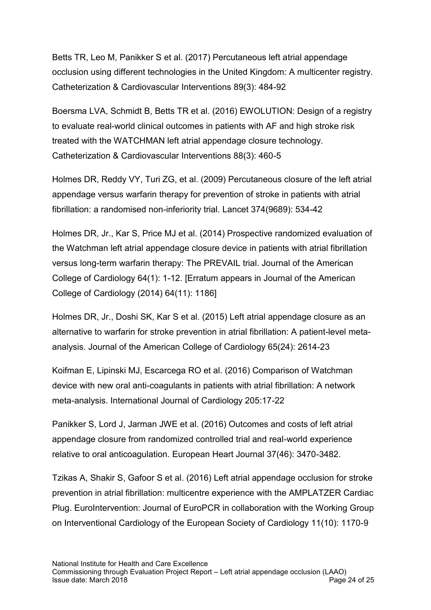Betts TR, Leo M, Panikker S et al. (2017) Percutaneous left atrial appendage occlusion using different technologies in the United Kingdom: A multicenter registry. Catheterization & Cardiovascular Interventions 89(3): 484-92

Boersma LVA, Schmidt B, Betts TR et al. (2016) EWOLUTION: Design of a registry to evaluate real-world clinical outcomes in patients with AF and high stroke risk treated with the WATCHMAN left atrial appendage closure technology. Catheterization & Cardiovascular Interventions 88(3): 460-5

Holmes DR, Reddy VY, Turi ZG, et al. (2009) Percutaneous closure of the left atrial appendage versus warfarin therapy for prevention of stroke in patients with atrial fibrillation: a randomised non-inferiority trial. Lancet 374(9689): 534-42

Holmes DR, Jr., Kar S, Price MJ et al. (2014) Prospective randomized evaluation of the Watchman left atrial appendage closure device in patients with atrial fibrillation versus long-term warfarin therapy: The PREVAIL trial. Journal of the American College of Cardiology 64(1): 1-12. [Erratum appears in Journal of the American College of Cardiology (2014) 64(11): 1186]

Holmes DR, Jr., Doshi SK, Kar S et al. (2015) Left atrial appendage closure as an alternative to warfarin for stroke prevention in atrial fibrillation: A patient-level metaanalysis. Journal of the American College of Cardiology 65(24): 2614-23

Koifman E, Lipinski MJ, Escarcega RO et al. (2016) Comparison of Watchman device with new oral anti-coagulants in patients with atrial fibrillation: A network meta-analysis. International Journal of Cardiology 205:17-22

Panikker S, Lord J, Jarman JWE et al. (2016) Outcomes and costs of left atrial appendage closure from randomized controlled trial and real-world experience relative to oral anticoagulation. European Heart Journal 37(46): 3470-3482.

Tzikas A, Shakir S, Gafoor S et al. (2016) Left atrial appendage occlusion for stroke prevention in atrial fibrillation: multicentre experience with the AMPLATZER Cardiac Plug. EuroIntervention: Journal of EuroPCR in collaboration with the Working Group on Interventional Cardiology of the European Society of Cardiology 11(10): 1170-9